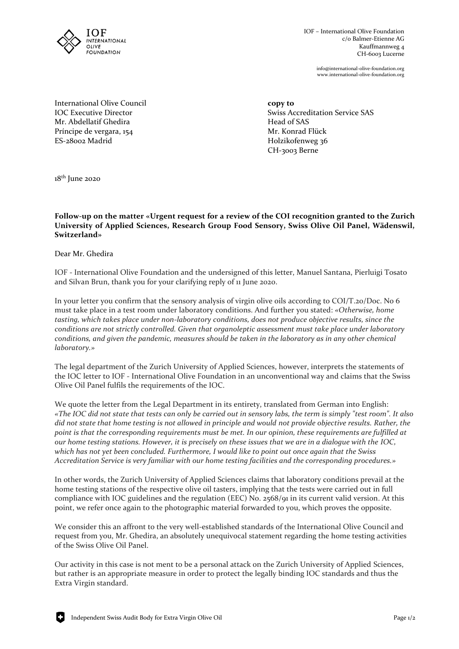

IOF – International Olive Foundation c/o Balmer-Etienne AG Kauffmannweg 4 CH-6003 Lucerne

> info@international-olive-foundation.org www.international-olive-foundation.org

International Olive Council **copy to** Mr. Abdellatif Ghedira Head of SAS Príncipe de vergara, 154 Mr. Konrad Flück

IOC Executive Director  $\sim$  Swiss Accreditation Service SAS Holzikofenweg 36 CH-3003 Berne

 $18<sup>th</sup>$  June 2020

## **Follow-up on the matter «Urgent request for a review of the COI recognition granted to the Zurich University of Applied Sciences, Research Group Food Sensory, Swiss Olive Oil Panel, Wädenswil, Switzerland»**

Dear Mr. Ghedira

IOF - International Olive Foundation and the undersigned of this letter, Manuel Santana, Pierluigi Tosato and Silvan Brun, thank you for your clarifying reply of 11 June 2020.

In your letter you confirm that the sensory analysis of virgin olive oils according to COI/T.20/Doc. No 6 must take place in a test room under laboratory conditions. And further you stated: *«Otherwise, home tasting, which takes place under non-laboratory conditions, does not produce objective results, since the conditions are not strictly controlled. Given that organoleptic assessment must take place under laboratory conditions, and given the pandemic, measures should be taken in the laboratory as in any other chemical laboratory.»*

The legal department of the Zurich University of Applied Sciences, however, interprets the statements of the IOC letter to IOF - International Olive Foundation in an unconventional way and claims that the Swiss Olive Oil Panel fulfils the requirements of the IOC.

We quote the letter from the Legal Department in its entirety, translated from German into English: *«The IOC did not state that tests can only be carried out in sensory labs, the term is simply "test room". It also did not state that home testing is not allowed in principle and would not provide objective results. Rather, the point is that the corresponding requirements must be met. In our opinion, these requirements are fulfilled at our home testing stations. However, it is precisely on these issues that we are in a dialogue with the IOC, which has not yet been concluded. Furthermore, I would like to point out once again that the Swiss Accreditation Service is very familiar with our home testing facilities and the corresponding procedures.»*

In other words, the Zurich University of Applied Sciences claims that laboratory conditions prevail at the home testing stations of the respective olive oil tasters, implying that the tests were carried out in full compliance with IOC guidelines and the regulation (EEC) No. 2568/91 in its current valid version. At this point, we refer once again to the photographic material forwarded to you, which proves the opposite.

We consider this an affront to the very well-established standards of the International Olive Council and request from you, Mr. Ghedira, an absolutely unequivocal statement regarding the home testing activities of the Swiss Olive Oil Panel.

Our activity in this case is not ment to be a personal attack on the Zurich University of Applied Sciences, but rather is an appropriate measure in order to protect the legally binding IOC standards and thus the Extra Virgin standard.